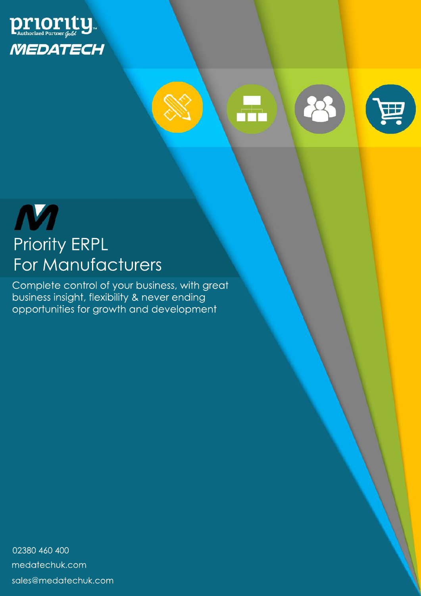



F



Complete control of your business, with great business insight, flexibility & never ending opportunities for growth and development

02380 460 400 sales@medatechuk.com medatechuk.com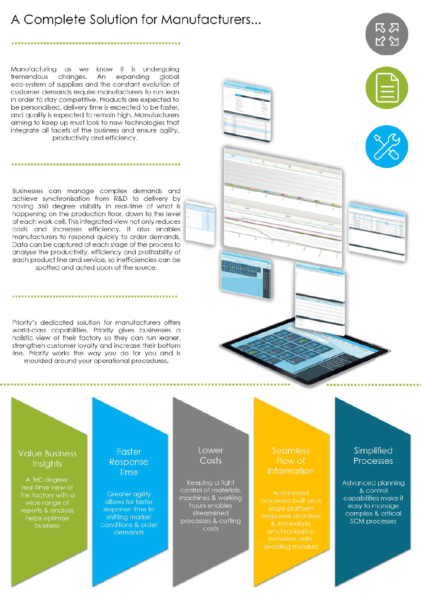# A Complete Solution for Manufacturers...

#### 

Manufacturing as we know it is undergoing changes. An expanding tremendous global eco-system of suppliers and the constant evolution of customer demands require manufacturers to run lean in order to stay competitive. Products are expected to be personalised, delivery time is expected to be faster. and quality is expected to remain high. Manufacturers aiming to keep up must look to new technologies that integrate all facets of the business and ensure agility, productivity and efficiency.

Businesses can manage complex demands and achieve synchronisation from R&D to delivery by having 360 degree visibility in real-time of what is happening on the production floor, down to the level of each work cell. This integrated view not only reduces costs and increases efficiency, it also enables manufacturers to respond quickly to order demands. Data can be captured at each stage of the process to analyse the productivity, efficiency and profitability of each product line and service, so inefficiencies can be spotted and acted upon at the source.

Priority's dedicated solution for manufacturers offers world-class capabilities. Priority gives businesses a holistic view of their factory so they can run leaner, strenathen customer loyalty and increase their bottom line. Priority works the way you do for you and is moulded around your operational procedures.





| ۰      |   |        |        |
|--------|---|--------|--------|
| ٠      | E |        |        |
| ٠<br>z |   | į<br>٠ | ì      |
|        |   | ī<br>÷ | j<br>z |
|        |   |        |        |
|        |   |        |        |

**Value Business** Insights

A 360 degree, real-time view of wide range of reports & analysis helps optimise business

#### Faster Response Time

**Greater agility** allows for faster response time to shifting market conditions & order demands

#### Lower Costs

Keeping a tight control of materials, machines & working hours enables streamlined processes & cutting costs

#### **Seamless** Flow of **Information**

# Simplified Processes

Advanced planning & control capabilities make it easy to manage complex & critical **SCM** processes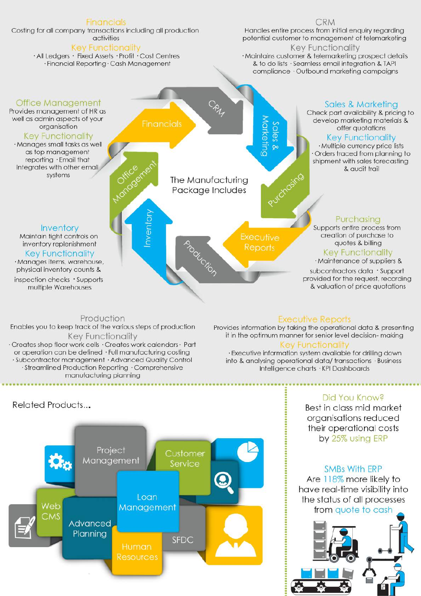

#### Production Enables you to keep track of the various steps of production

Key Functionality

· Creates shop floor work cells · Creates work calendars · Part

or operation can be defined · Full manufacturing costing

· Subcontractor management · Advanced Quality Control

· Streamlined Production Reporting · Comprehensive

manufacturing planning

## **Executive Reports**

Provides information by taking the operational data & presenting it in the optimum manner for senior level decision-making

#### ey Functionalit

· Executive information system available for drilling down into & analysing operational data/transactions · Business Intelligence charts . KPI Dashboards



#### Did You Know?

Best in class mid market organisations reduced their operational costs by 25% using ERP

#### **SMBs With ERP**

Are 118% more likely to have real-time visibility into the status of all processes from quote to cash